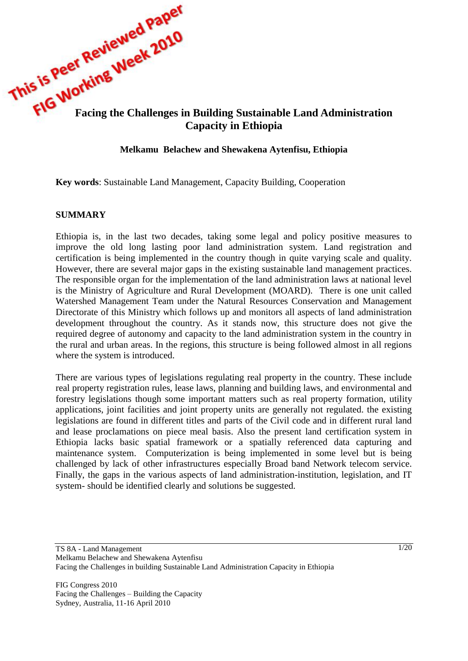

#### **Melkamu Belachew and Shewakena Aytenfisu, Ethiopia**

**Key words**: Sustainable Land Management, Capacity Building, Cooperation

#### **SUMMARY**

Ethiopia is, in the last two decades, taking some legal and policy positive measures to improve the old long lasting poor land administration system. Land registration and certification is being implemented in the country though in quite varying scale and quality. However, there are several major gaps in the existing sustainable land management practices. The responsible organ for the implementation of the land administration laws at national level is the Ministry of Agriculture and Rural Development (MOARD). There is one unit called Watershed Management Team under the Natural Resources Conservation and Management Directorate of this Ministry which follows up and monitors all aspects of land administration development throughout the country. As it stands now, this structure does not give the required degree of autonomy and capacity to the land administration system in the country in the rural and urban areas. In the regions, this structure is being followed almost in all regions where the system is introduced.

There are various types of legislations regulating real property in the country. These include real property registration rules, lease laws, planning and building laws, and environmental and forestry legislations though some important matters such as real property formation, utility applications, joint facilities and joint property units are generally not regulated. the existing legislations are found in different titles and parts of the Civil code and in different rural land and lease proclamations on piece meal basis. Also the present land certification system in Ethiopia lacks basic spatial framework or a spatially referenced data capturing and maintenance system. Computerization is being implemented in some level but is being challenged by lack of other infrastructures especially Broad band Network telecom service. Finally, the gaps in the various aspects of land administration-institution, legislation, and IT system- should be identified clearly and solutions be suggested.

FIG Congress 2010 Facing the Challenges – Building the Capacity Sydney, Australia, 11-16 April 2010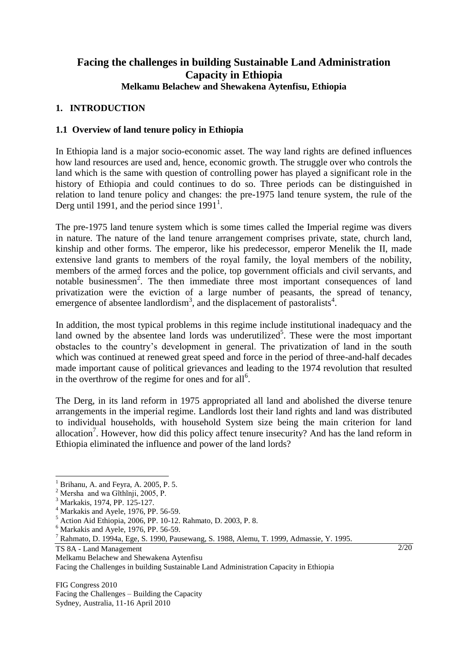# **Facing the challenges in building Sustainable Land Administration Capacity in Ethiopia Melkamu Belachew and Shewakena Aytenfisu, Ethiopia**

## **1. INTRODUCTION**

## **1.1 Overview of land tenure policy in Ethiopia**

In Ethiopia land is a major socio-economic asset. The way land rights are defined influences how land resources are used and, hence, economic growth. The struggle over who controls the land which is the same with question of controlling power has played a significant role in the history of Ethiopia and could continues to do so. Three periods can be distinguished in relation to land tenure policy and changes: the pre-1975 land tenure system, the rule of the Derg until 1991, and the period since  $1991<sup>1</sup>$ .

The pre-1975 land tenure system which is some times called the Imperial regime was divers in nature. The nature of the land tenure arrangement comprises private, state, church land, kinship and other forms. The emperor, like his predecessor, emperor Menelik the II, made extensive land grants to members of the royal family, the loyal members of the nobility, members of the armed forces and the police, top government officials and civil servants, and notable businessmen<sup>2</sup>. The then immediate three most important consequences of land privatization were the eviction of a large number of peasants, the spread of tenancy, emergence of absentee landlordism<sup>3</sup>, and the displacement of pastoralists<sup>4</sup>.

In addition, the most typical problems in this regime include institutional inadequacy and the land owned by the absentee land lords was underutilized<sup>5</sup>. These were the most important obstacles to the country"s development in general. The privatization of land in the south which was continued at renewed great speed and force in the period of three-and-half decades made important cause of political grievances and leading to the 1974 revolution that resulted in the overthrow of the regime for ones and for all<sup>6</sup>.

The Derg, in its land reform in 1975 appropriated all land and abolished the diverse tenure arrangements in the imperial regime. Landlords lost their land rights and land was distributed to individual households, with household System size being the main criterion for land allocation<sup>7</sup>. However, how did this policy affect tenure insecurity? And has the land reform in Ethiopia eliminated the influence and power of the land lords?

 $\overline{a}$ 

FIG Congress 2010 Facing the Challenges – Building the Capacity Sydney, Australia, 11-16 April 2010

 $<sup>1</sup>$  Brihanu, A. and Feyra, A. 2005, P. 5.</sup>

<sup>&</sup>lt;sup>2</sup> Mersha and wa Gĩthĩnji, 2005, P.

<sup>3</sup> Markakis, 1974, PP. 125-127.

 $<sup>4</sup>$  Markakis and Ayele, 1976, PP. 56-59.</sup>

<sup>5</sup> Action Aid Ethiopia, 2006, PP. 10-12. Rahmato, D. 2003, P. 8.

 $6$  Markakis and Ayele, 1976, PP. 56-59.

<sup>7</sup> Rahmato, D. 1994a, Ege, S. 1990, Pausewang, S. 1988, Alemu, T. 1999, Admassie, Y. 1995.

TS 8A - Land Management

Melkamu Belachew and Shewakena Aytenfisu

Facing the Challenges in building Sustainable Land Administration Capacity in Ethiopia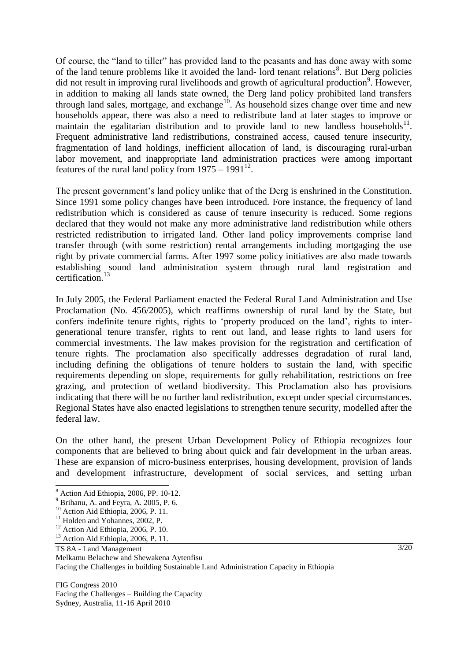Of course, the "land to tiller" has provided land to the peasants and has done away with some of the land tenure problems like it avoided the land- lord tenant relations<sup>8</sup>. But Derg policies did not result in improving rural livelihoods and growth of agricultural production<sup>9</sup>. However, in addition to making all lands state owned, the Derg land policy prohibited land transfers through land sales, mortgage, and exchange<sup>10</sup>. As household sizes change over time and new households appear, there was also a need to redistribute land at later stages to improve or maintain the egalitarian distribution and to provide land to new landless households<sup>11</sup>. Frequent administrative land redistributions, constrained access, caused tenure insecurity, fragmentation of land holdings, inefficient allocation of land, is discouraging rural-urban labor movement, and inappropriate land administration practices were among important features of the rural land policy from  $1975 - 1991^{12}$ .

The present government's land policy unlike that of the Derg is enshrined in the Constitution. Since 1991 some policy changes have been introduced. Fore instance, the frequency of land redistribution which is considered as cause of tenure insecurity is reduced. Some regions declared that they would not make any more administrative land redistribution while others restricted redistribution to irrigated land. Other land policy improvements comprise land transfer through (with some restriction) rental arrangements including mortgaging the use right by private commercial farms. After 1997 some policy initiatives are also made towards establishing sound land administration system through rural land registration and certification.<sup>13</sup>

In July 2005, the Federal Parliament enacted the Federal Rural Land Administration and Use Proclamation (No. 456/2005), which reaffirms ownership of rural land by the State, but confers indefinite tenure rights, rights to "property produced on the land", rights to intergenerational tenure transfer, rights to rent out land, and lease rights to land users for commercial investments. The law makes provision for the registration and certification of tenure rights. The proclamation also specifically addresses degradation of rural land, including defining the obligations of tenure holders to sustain the land, with specific requirements depending on slope, requirements for gully rehabilitation, restrictions on free grazing, and protection of wetland biodiversity. This Proclamation also has provisions indicating that there will be no further land redistribution, except under special circumstances. Regional States have also enacted legislations to strengthen tenure security, modelled after the federal law.

On the other hand, the present Urban Development Policy of Ethiopia recognizes four components that are believed to bring about quick and fair development in the urban areas. These are expansion of micro-business enterprises, housing development, provision of lands and development infrastructure, development of social services, and setting urban

 $\overline{a}$ 

FIG Congress 2010 Facing the Challenges – Building the Capacity Sydney, Australia, 11-16 April 2010

<sup>8</sup> Action Aid Ethiopia, 2006, PP. 10-12.

 $9$  Brihanu, A. and Feyra, A. 2005, P. 6.

 $10$  Action Aid Ethiopia, 2006, P. 11.

<sup>&</sup>lt;sup>11</sup> Holden and Yohannes, 2002, P.

<sup>&</sup>lt;sup>12</sup> Action Aid Ethiopia, 2006, P. 10.

<sup>&</sup>lt;sup>13</sup> Action Aid Ethiopia, 2006, P. 11.

TS 8A - Land Management

Melkamu Belachew and Shewakena Aytenfisu

Facing the Challenges in building Sustainable Land Administration Capacity in Ethiopia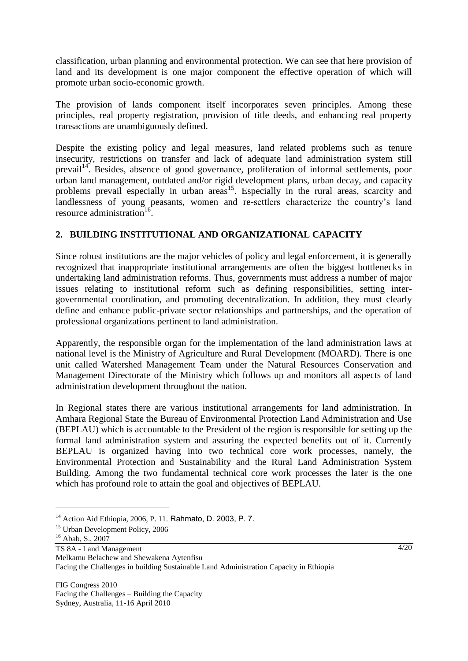classification, urban planning and environmental protection. We can see that here provision of land and its development is one major component the effective operation of which will promote urban socio-economic growth.

The provision of lands component itself incorporates seven principles. Among these principles, real property registration, provision of title deeds, and enhancing real property transactions are unambiguously defined.

Despite the existing policy and legal measures, land related problems such as tenure insecurity, restrictions on transfer and lack of adequate land administration system still prevail<sup>14</sup>. Besides, absence of good governance, proliferation of informal settlements, poor urban land management, outdated and/or rigid development plans, urban decay, and capacity problems prevail especially in urban areas<sup>15</sup>. Especially in the rural areas, scarcity and landlessness of young peasants, women and re-settlers characterize the country's land resource administration<sup>16</sup>.

## **2. BUILDING INSTITUTIONAL AND ORGANIZATIONAL CAPACITY**

Since robust institutions are the major vehicles of policy and legal enforcement, it is generally recognized that inappropriate institutional arrangements are often the biggest bottlenecks in undertaking land administration reforms. Thus, governments must address a number of major issues relating to institutional reform such as defining responsibilities, setting intergovernmental coordination, and promoting decentralization. In addition, they must clearly define and enhance public-private sector relationships and partnerships, and the operation of professional organizations pertinent to land administration.

Apparently, the responsible organ for the implementation of the land administration laws at national level is the Ministry of Agriculture and Rural Development (MOARD). There is one unit called Watershed Management Team under the Natural Resources Conservation and Management Directorate of the Ministry which follows up and monitors all aspects of land administration development throughout the nation.

In Regional states there are various institutional arrangements for land administration. In Amhara Regional State the Bureau of Environmental Protection Land Administration and Use (BEPLAU) which is accountable to the President of the region is responsible for setting up the formal land administration system and assuring the expected benefits out of it. Currently BEPLAU is organized having into two technical core work processes, namely, the Environmental Protection and Sustainability and the Rural Land Administration System Building. Among the two fundamental technical core work processes the later is the one which has profound role to attain the goal and objectives of BEPLAU.

<sup>&</sup>lt;sup>14</sup> Action Aid Ethiopia, 2006, P. 11. Rahmato, D. 2003, P. 7.

<sup>&</sup>lt;sup>15</sup> Urban Development Policy, 2006

 $16$  Abab, S., 2007

TS 8A - Land Management

Melkamu Belachew and Shewakena Aytenfisu

Facing the Challenges in building Sustainable Land Administration Capacity in Ethiopia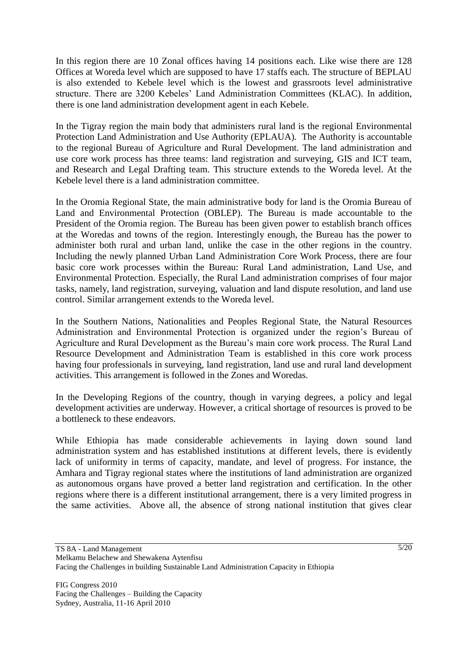In this region there are 10 Zonal offices having 14 positions each. Like wise there are 128 Offices at Woreda level which are supposed to have 17 staffs each. The structure of BEPLAU is also extended to Kebele level which is the lowest and grassroots level administrative structure. There are 3200 Kebeles" Land Administration Committees (KLAC). In addition, there is one land administration development agent in each Kebele.

In the Tigray region the main body that administers rural land is the regional Environmental Protection Land Administration and Use Authority (EPLAUA). The Authority is accountable to the regional Bureau of Agriculture and Rural Development. The land administration and use core work process has three teams: land registration and surveying, GIS and ICT team, and Research and Legal Drafting team. This structure extends to the Woreda level. At the Kebele level there is a land administration committee.

In the Oromia Regional State, the main administrative body for land is the Oromia Bureau of Land and Environmental Protection (OBLEP). The Bureau is made accountable to the President of the Oromia region. The Bureau has been given power to establish branch offices at the Woredas and towns of the region. Interestingly enough, the Bureau has the power to administer both rural and urban land, unlike the case in the other regions in the country. Including the newly planned Urban Land Administration Core Work Process, there are four basic core work processes within the Bureau: Rural Land administration, Land Use, and Environmental Protection. Especially, the Rural Land administration comprises of four major tasks, namely, land registration, surveying, valuation and land dispute resolution, and land use control. Similar arrangement extends to the Woreda level.

In the Southern Nations, Nationalities and Peoples Regional State, the Natural Resources Administration and Environmental Protection is organized under the region"s Bureau of Agriculture and Rural Development as the Bureau"s main core work process. The Rural Land Resource Development and Administration Team is established in this core work process having four professionals in surveying, land registration, land use and rural land development activities. This arrangement is followed in the Zones and Woredas.

In the Developing Regions of the country, though in varying degrees, a policy and legal development activities are underway. However, a critical shortage of resources is proved to be a bottleneck to these endeavors.

While Ethiopia has made considerable achievements in laying down sound land administration system and has established institutions at different levels, there is evidently lack of uniformity in terms of capacity, mandate, and level of progress. For instance, the Amhara and Tigray regional states where the institutions of land administration are organized as autonomous organs have proved a better land registration and certification. In the other regions where there is a different institutional arrangement, there is a very limited progress in the same activities. Above all, the absence of strong national institution that gives clear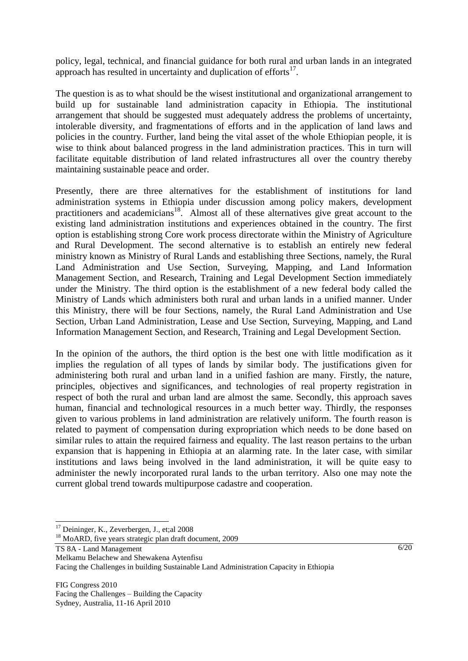policy, legal, technical, and financial guidance for both rural and urban lands in an integrated approach has resulted in uncertainty and duplication of  $efforts<sup>17</sup>$ .

The question is as to what should be the wisest institutional and organizational arrangement to build up for sustainable land administration capacity in Ethiopia. The institutional arrangement that should be suggested must adequately address the problems of uncertainty, intolerable diversity, and fragmentations of efforts and in the application of land laws and policies in the country. Further, land being the vital asset of the whole Ethiopian people, it is wise to think about balanced progress in the land administration practices. This in turn will facilitate equitable distribution of land related infrastructures all over the country thereby maintaining sustainable peace and order.

Presently, there are three alternatives for the establishment of institutions for land administration systems in Ethiopia under discussion among policy makers, development practitioners and academicians<sup>18</sup>. Almost all of these alternatives give great account to the existing land administration institutions and experiences obtained in the country. The first option is establishing strong Core work process directorate within the Ministry of Agriculture and Rural Development. The second alternative is to establish an entirely new federal ministry known as Ministry of Rural Lands and establishing three Sections, namely, the Rural Land Administration and Use Section, Surveying, Mapping, and Land Information Management Section, and Research, Training and Legal Development Section immediately under the Ministry. The third option is the establishment of a new federal body called the Ministry of Lands which administers both rural and urban lands in a unified manner. Under this Ministry, there will be four Sections, namely, the Rural Land Administration and Use Section, Urban Land Administration, Lease and Use Section, Surveying, Mapping, and Land Information Management Section, and Research, Training and Legal Development Section.

In the opinion of the authors, the third option is the best one with little modification as it implies the regulation of all types of lands by similar body. The justifications given for administering both rural and urban land in a unified fashion are many. Firstly, the nature, principles, objectives and significances, and technologies of real property registration in respect of both the rural and urban land are almost the same. Secondly, this approach saves human, financial and technological resources in a much better way. Thirdly, the responses given to various problems in land administration are relatively uniform. The fourth reason is related to payment of compensation during expropriation which needs to be done based on similar rules to attain the required fairness and equality. The last reason pertains to the urban expansion that is happening in Ethiopia at an alarming rate. In the later case, with similar institutions and laws being involved in the land administration, it will be quite easy to administer the newly incorporated rural lands to the urban territory. Also one may note the current global trend towards multipurpose cadastre and cooperation.

<sup>&</sup>lt;sup>17</sup> Deininger, K., Zeverbergen, J., et;al 2008

<sup>&</sup>lt;sup>18</sup> MoARD, five years strategic plan draft document, 2009

TS 8A - Land Management

Melkamu Belachew and Shewakena Aytenfisu

Facing the Challenges in building Sustainable Land Administration Capacity in Ethiopia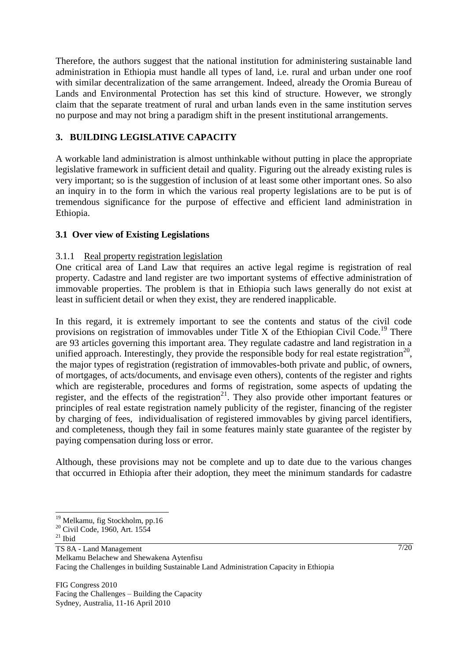Therefore, the authors suggest that the national institution for administering sustainable land administration in Ethiopia must handle all types of land, i.e. rural and urban under one roof with similar decentralization of the same arrangement. Indeed, already the Oromia Bureau of Lands and Environmental Protection has set this kind of structure. However, we strongly claim that the separate treatment of rural and urban lands even in the same institution serves no purpose and may not bring a paradigm shift in the present institutional arrangements.

# **3. BUILDING LEGISLATIVE CAPACITY**

A workable land administration is almost unthinkable without putting in place the appropriate legislative framework in sufficient detail and quality. Figuring out the already existing rules is very important; so is the suggestion of inclusion of at least some other important ones. So also an inquiry in to the form in which the various real property legislations are to be put is of tremendous significance for the purpose of effective and efficient land administration in Ethiopia.

## **3.1 Over view of Existing Legislations**

### 3.1.1 Real property registration legislation

One critical area of Land Law that requires an active legal regime is registration of real property. Cadastre and land register are two important systems of effective administration of immovable properties. The problem is that in Ethiopia such laws generally do not exist at least in sufficient detail or when they exist, they are rendered inapplicable.

In this regard, it is extremely important to see the contents and status of the civil code provisions on registration of immovables under Title X of the Ethiopian Civil Code.<sup>19</sup> There are 93 articles governing this important area. They regulate cadastre and land registration in a unified approach. Interestingly, they provide the responsible body for real estate registration<sup>20</sup>, the major types of registration (registration of immovables-both private and public, of owners, of mortgages, of acts/documents, and envisage even others), contents of the register and rights which are registerable, procedures and forms of registration, some aspects of updating the register, and the effects of the registration<sup>21</sup>. They also provide other important features or principles of real estate registration namely publicity of the register, financing of the register by charging of fees, individualisation of registered immovables by giving parcel identifiers, and completeness, though they fail in some features mainly state guarantee of the register by paying compensation during loss or error.

Although, these provisions may not be complete and up to date due to the various changes that occurred in Ethiopia after their adoption, they meet the minimum standards for cadastre

 $21$  Ibid

 $\overline{a}$ 

TS 8A - Land Management

Melkamu Belachew and Shewakena Aytenfisu

Facing the Challenges in building Sustainable Land Administration Capacity in Ethiopia

<sup>&</sup>lt;sup>19</sup> Melkamu, fig Stockholm, pp.16

<sup>&</sup>lt;sup>20</sup> Civil Code, 1960, Art. 1554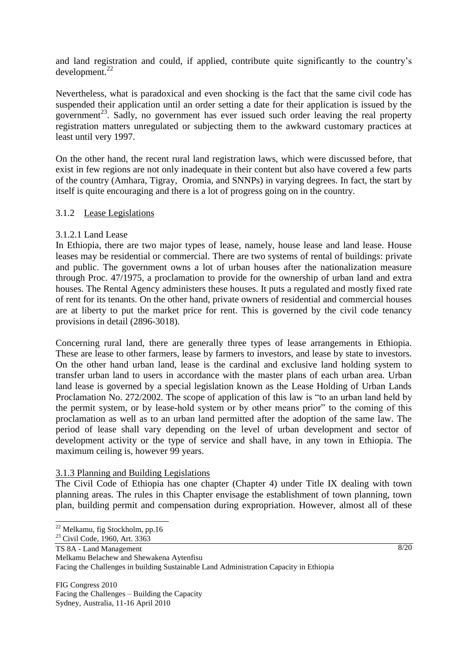and land registration and could, if applied, contribute quite significantly to the country"s  $development.<sup>22</sup>$ 

Nevertheless, what is paradoxical and even shocking is the fact that the same civil code has suspended their application until an order setting a date for their application is issued by the government<sup>23</sup>. Sadly, no government has ever issued such order leaving the real property registration matters unregulated or subjecting them to the awkward customary practices at least until very 1997.

On the other hand, the recent rural land registration laws, which were discussed before, that exist in few regions are not only inadequate in their content but also have covered a few parts of the country (Amhara, Tigray, Oromia, and SNNPs) in varying degrees. In fact, the start by itself is quite encouraging and there is a lot of progress going on in the country.

### 3.1.2 Lease Legislations

### 3.1.2.1 Land Lease

In Ethiopia, there are two major types of lease, namely, house lease and land lease. House leases may be residential or commercial. There are two systems of rental of buildings: private and public. The government owns a lot of urban houses after the nationalization measure through Proc. 47/1975, a proclamation to provide for the ownership of urban land and extra houses. The Rental Agency administers these houses. It puts a regulated and mostly fixed rate of rent for its tenants. On the other hand, private owners of residential and commercial houses are at liberty to put the market price for rent. This is governed by the civil code tenancy provisions in detail (2896-3018).

Concerning rural land, there are generally three types of lease arrangements in Ethiopia. These are lease to other farmers, lease by farmers to investors, and lease by state to investors. On the other hand urban land, lease is the cardinal and exclusive land holding system to transfer urban land to users in accordance with the master plans of each urban area. Urban land lease is governed by a special legislation known as the Lease Holding of Urban Lands Proclamation No. 272/2002. The scope of application of this law is "to an urban land held by the permit system, or by lease-hold system or by other means prior" to the coming of this proclamation as well as to an urban land permitted after the adoption of the same law. The period of lease shall vary depending on the level of urban development and sector of development activity or the type of service and shall have, in any town in Ethiopia. The maximum ceiling is, however 99 years.

#### 3.1.3 Planning and Building Legislations

The Civil Code of Ethiopia has one chapter (Chapter 4) under Title IX dealing with town planning areas. The rules in this Chapter envisage the establishment of town planning, town plan, building permit and compensation during expropriation. However, almost all of these

<sup>&</sup>lt;sup>22</sup> Melkamu, fig Stockholm, pp.16

<sup>&</sup>lt;sup>23</sup> Civil Code, 1960, Art. 3363

TS 8A - Land Management

Melkamu Belachew and Shewakena Aytenfisu

Facing the Challenges in building Sustainable Land Administration Capacity in Ethiopia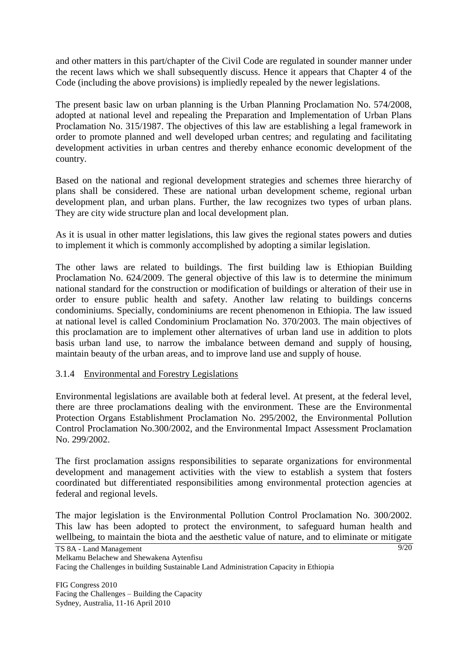and other matters in this part/chapter of the Civil Code are regulated in sounder manner under the recent laws which we shall subsequently discuss. Hence it appears that Chapter 4 of the Code (including the above provisions) is impliedly repealed by the newer legislations.

The present basic law on urban planning is the Urban Planning Proclamation No. 574/2008, adopted at national level and repealing the Preparation and Implementation of Urban Plans Proclamation No. 315/1987. The objectives of this law are establishing a legal framework in order to promote planned and well developed urban centres; and regulating and facilitating development activities in urban centres and thereby enhance economic development of the country.

Based on the national and regional development strategies and schemes three hierarchy of plans shall be considered. These are national urban development scheme, regional urban development plan, and urban plans. Further, the law recognizes two types of urban plans. They are city wide structure plan and local development plan.

As it is usual in other matter legislations, this law gives the regional states powers and duties to implement it which is commonly accomplished by adopting a similar legislation.

The other laws are related to buildings. The first building law is Ethiopian Building Proclamation No. 624/2009. The general objective of this law is to determine the minimum national standard for the construction or modification of buildings or alteration of their use in order to ensure public health and safety. Another law relating to buildings concerns condominiums. Specially, condominiums are recent phenomenon in Ethiopia. The law issued at national level is called Condominium Proclamation No. 370/2003. The main objectives of this proclamation are to implement other alternatives of urban land use in addition to plots basis urban land use, to narrow the imbalance between demand and supply of housing, maintain beauty of the urban areas, and to improve land use and supply of house.

#### 3.1.4 Environmental and Forestry Legislations

Environmental legislations are available both at federal level. At present, at the federal level, there are three proclamations dealing with the environment. These are the Environmental Protection Organs Establishment Proclamation No. 295/2002, the Environmental Pollution Control Proclamation No.300/2002, and the Environmental Impact Assessment Proclamation No. 299/2002.

The first proclamation assigns responsibilities to separate organizations for environmental development and management activities with the view to establish a system that fosters coordinated but differentiated responsibilities among environmental protection agencies at federal and regional levels.

 $9/20$ The major legislation is the Environmental Pollution Control Proclamation No. 300/2002. This law has been adopted to protect the environment, to safeguard human health and wellbeing, to maintain the biota and the aesthetic value of nature, and to eliminate or mitigate

TS 8A - Land Management Melkamu Belachew and Shewakena Aytenfisu Facing the Challenges in building Sustainable Land Administration Capacity in Ethiopia

FIG Congress 2010 Facing the Challenges – Building the Capacity Sydney, Australia, 11-16 April 2010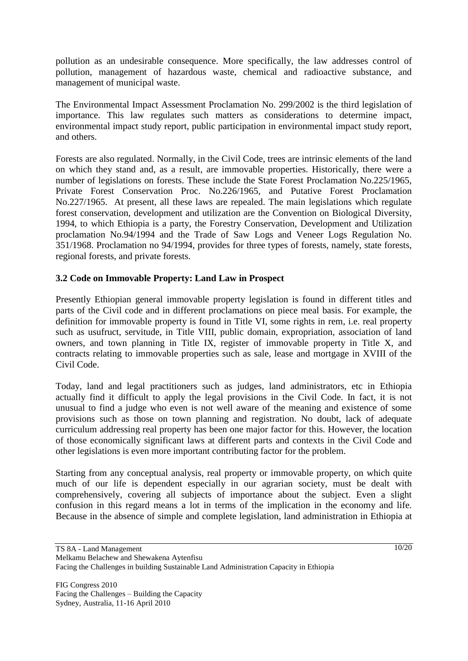pollution as an undesirable consequence. More specifically, the law addresses control of pollution, management of hazardous waste, chemical and radioactive substance, and management of municipal waste.

The Environmental Impact Assessment Proclamation No. 299/2002 is the third legislation of importance. This law regulates such matters as considerations to determine impact, environmental impact study report, public participation in environmental impact study report, and others.

Forests are also regulated. Normally, in the Civil Code, trees are intrinsic elements of the land on which they stand and, as a result, are immovable properties. Historically, there were a number of legislations on forests. These include the State Forest Proclamation No.225/1965, Private Forest Conservation Proc. No.226/1965, and Putative Forest Proclamation No.227/1965. At present, all these laws are repealed. The main legislations which regulate forest conservation, development and utilization are the Convention on Biological Diversity, 1994, to which Ethiopia is a party, the Forestry Conservation, Development and Utilization proclamation No.94/1994 and the Trade of Saw Logs and Veneer Logs Regulation No. 351/1968. Proclamation no 94/1994, provides for three types of forests, namely, state forests, regional forests, and private forests.

## **3.2 Code on Immovable Property: Land Law in Prospect**

Presently Ethiopian general immovable property legislation is found in different titles and parts of the Civil code and in different proclamations on piece meal basis. For example, the definition for immovable property is found in Title VI, some rights in rem, i.e. real property such as usufruct, servitude, in Title VIII, public domain, expropriation, association of land owners, and town planning in Title IX, register of immovable property in Title X, and contracts relating to immovable properties such as sale, lease and mortgage in XVIII of the Civil Code.

Today, land and legal practitioners such as judges, land administrators, etc in Ethiopia actually find it difficult to apply the legal provisions in the Civil Code. In fact, it is not unusual to find a judge who even is not well aware of the meaning and existence of some provisions such as those on town planning and registration. No doubt, lack of adequate curriculum addressing real property has been one major factor for this. However, the location of those economically significant laws at different parts and contexts in the Civil Code and other legislations is even more important contributing factor for the problem.

Starting from any conceptual analysis, real property or immovable property, on which quite much of our life is dependent especially in our agrarian society, must be dealt with comprehensively, covering all subjects of importance about the subject. Even a slight confusion in this regard means a lot in terms of the implication in the economy and life. Because in the absence of simple and complete legislation, land administration in Ethiopia at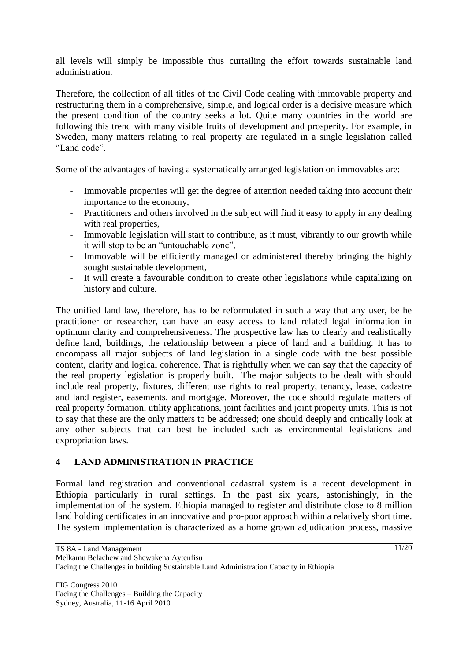all levels will simply be impossible thus curtailing the effort towards sustainable land administration.

Therefore, the collection of all titles of the Civil Code dealing with immovable property and restructuring them in a comprehensive, simple, and logical order is a decisive measure which the present condition of the country seeks a lot. Quite many countries in the world are following this trend with many visible fruits of development and prosperity. For example, in Sweden, many matters relating to real property are regulated in a single legislation called "Land code".

Some of the advantages of having a systematically arranged legislation on immovables are:

- Immovable properties will get the degree of attention needed taking into account their importance to the economy,
- Practitioners and others involved in the subject will find it easy to apply in any dealing with real properties,
- Immovable legislation will start to contribute, as it must, vibrantly to our growth while it will stop to be an "untouchable zone",
- Immovable will be efficiently managed or administered thereby bringing the highly sought sustainable development,
- It will create a favourable condition to create other legislations while capitalizing on history and culture.

The unified land law, therefore, has to be reformulated in such a way that any user, be he practitioner or researcher, can have an easy access to land related legal information in optimum clarity and comprehensiveness. The prospective law has to clearly and realistically define land, buildings, the relationship between a piece of land and a building. It has to encompass all major subjects of land legislation in a single code with the best possible content, clarity and logical coherence. That is rightfully when we can say that the capacity of the real property legislation is properly built. The major subjects to be dealt with should include real property, fixtures, different use rights to real property, tenancy, lease, cadastre and land register, easements, and mortgage. Moreover, the code should regulate matters of real property formation, utility applications, joint facilities and joint property units. This is not to say that these are the only matters to be addressed; one should deeply and critically look at any other subjects that can best be included such as environmental legislations and expropriation laws.

# **4 LAND ADMINISTRATION IN PRACTICE**

Formal land registration and conventional cadastral system is a recent development in Ethiopia particularly in rural settings. In the past six years, astonishingly, in the implementation of the system, Ethiopia managed to register and distribute close to 8 million land holding certificates in an innovative and pro-poor approach within a relatively short time. The system implementation is characterized as a home grown adjudication process, massive

TS 8A - Land Management Melkamu Belachew and Shewakena Aytenfisu Facing the Challenges in building Sustainable Land Administration Capacity in Ethiopia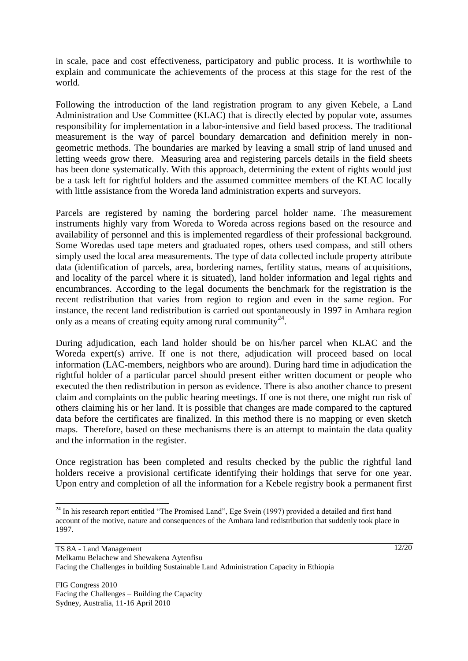in scale, pace and cost effectiveness, participatory and public process. It is worthwhile to explain and communicate the achievements of the process at this stage for the rest of the world.

Following the introduction of the land registration program to any given Kebele, a Land Administration and Use Committee (KLAC) that is directly elected by popular vote, assumes responsibility for implementation in a labor-intensive and field based process. The traditional measurement is the way of parcel boundary demarcation and definition merely in nongeometric methods. The boundaries are marked by leaving a small strip of land unused and letting weeds grow there. Measuring area and registering parcels details in the field sheets has been done systematically. With this approach, determining the extent of rights would just be a task left for rightful holders and the assumed committee members of the KLAC locally with little assistance from the Woreda land administration experts and surveyors.

Parcels are registered by naming the bordering parcel holder name. The measurement instruments highly vary from Woreda to Woreda across regions based on the resource and availability of personnel and this is implemented regardless of their professional background. Some Woredas used tape meters and graduated ropes, others used compass, and still others simply used the local area measurements. The type of data collected include property attribute data (identification of parcels, area, bordering names, fertility status, means of acquisitions, and locality of the parcel where it is situated), land holder information and legal rights and encumbrances. According to the legal documents the benchmark for the registration is the recent redistribution that varies from region to region and even in the same region. For instance, the recent land redistribution is carried out spontaneously in 1997 in Amhara region only as a means of creating equity among rural community<sup>24</sup>.

During adjudication, each land holder should be on his/her parcel when KLAC and the Woreda expert(s) arrive. If one is not there, adjudication will proceed based on local information (LAC-members, neighbors who are around). During hard time in adjudication the rightful holder of a particular parcel should present either written document or people who executed the then redistribution in person as evidence. There is also another chance to present claim and complaints on the public hearing meetings. If one is not there, one might run risk of others claiming his or her land. It is possible that changes are made compared to the captured data before the certificates are finalized. In this method there is no mapping or even sketch maps. Therefore, based on these mechanisms there is an attempt to maintain the data quality and the information in the register.

Once registration has been completed and results checked by the public the rightful land holders receive a provisional certificate identifying their holdings that serve for one year. Upon entry and completion of all the information for a Kebele registry book a permanent first

<sup>&</sup>lt;sup>24</sup> In his research report entitled "The Promised Land", Ege Svein (1997) provided a detailed and first hand account of the motive, nature and consequences of the Amhara land redistribution that suddenly took place in 1997.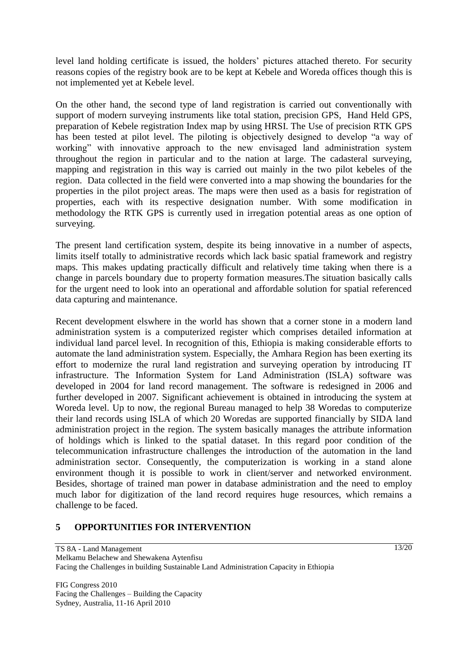level land holding certificate is issued, the holders" pictures attached thereto. For security reasons copies of the registry book are to be kept at Kebele and Woreda offices though this is not implemented yet at Kebele level.

On the other hand, the second type of land registration is carried out conventionally with support of modern surveying instruments like total station, precision GPS, Hand Held GPS, preparation of Kebele registration Index map by using HRSI. The Use of precision RTK GPS has been tested at pilot level. The piloting is objectively designed to develop "a way of working" with innovative approach to the new envisaged land administration system throughout the region in particular and to the nation at large. The cadasteral surveying, mapping and registration in this way is carried out mainly in the two pilot kebeles of the region. Data collected in the field were converted into a map showing the boundaries for the properties in the pilot project areas. The maps were then used as a basis for registration of properties, each with its respective designation number. With some modification in methodology the RTK GPS is currently used in irregation potential areas as one option of surveying.

The present land certification system, despite its being innovative in a number of aspects, limits itself totally to administrative records which lack basic spatial framework and registry maps. This makes updating practically difficult and relatively time taking when there is a change in parcels boundary due to property formation measures.The situation basically calls for the urgent need to look into an operational and affordable solution for spatial referenced data capturing and maintenance.

Recent development elswhere in the world has shown that a corner stone in a modern land administration system is a computerized register which comprises detailed information at individual land parcel level. In recognition of this, Ethiopia is making considerable efforts to automate the land administration system. Especially, the Amhara Region has been exerting its effort to modernize the rural land registration and surveying operation by introducing IT infrastructure. The Information System for Land Administration (ISLA) software was developed in 2004 for land record management. The software is redesigned in 2006 and further developed in 2007. Significant achievement is obtained in introducing the system at Woreda level. Up to now, the regional Bureau managed to help 38 Woredas to computerize their land records using ISLA of which 20 Woredas are supported financially by SIDA land administration project in the region. The system basically manages the attribute information of holdings which is linked to the spatial dataset. In this regard poor condition of the telecommunication infrastructure challenges the introduction of the automation in the land administration sector. Consequently, the computerization is working in a stand alone environment though it is possible to work in client/server and networked environment. Besides, shortage of trained man power in database administration and the need to employ much labor for digitization of the land record requires huge resources, which remains a challenge to be faced.

#### **5 OPPORTUNITIES FOR INTERVENTION**

TS 8A - Land Management Melkamu Belachew and Shewakena Aytenfisu Facing the Challenges in building Sustainable Land Administration Capacity in Ethiopia

FIG Congress 2010 Facing the Challenges – Building the Capacity Sydney, Australia, 11-16 April 2010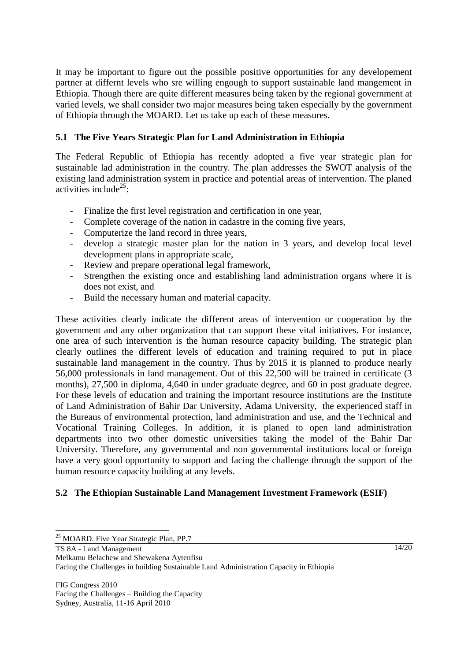It may be important to figure out the possible positive opportunities for any developement partner at differnt levels who sre willing engough to support sustainable land mangement in Ethiopia. Though there are quite different measures being taken by the regional government at varied levels, we shall consider two major measures being taken especially by the government of Ethiopia through the MOARD. Let us take up each of these measures.

# **5.1 The Five Years Strategic Plan for Land Administration in Ethiopia**

The Federal Republic of Ethiopia has recently adopted a five year strategic plan for sustainable lad administration in the country. The plan addresses the SWOT analysis of the existing land administration system in practice and potential areas of intervention. The planed activities include<sup>25</sup>:

- Finalize the first level registration and certification in one year,
- Complete coverage of the nation in cadastre in the coming five years,
- Computerize the land record in three years,
- develop a strategic master plan for the nation in 3 years, and develop local level development plans in appropriate scale,
- Review and prepare operational legal framework,
- Strengthen the existing once and establishing land administration organs where it is does not exist, and
- Build the necessary human and material capacity.

These activities clearly indicate the different areas of intervention or cooperation by the government and any other organization that can support these vital initiatives. For instance, one area of such intervention is the human resource capacity building. The strategic plan clearly outlines the different levels of education and training required to put in place sustainable land management in the country. Thus by 2015 it is planned to produce nearly 56,000 professionals in land management. Out of this 22,500 will be trained in certificate (3 months), 27,500 in diploma, 4,640 in under graduate degree, and 60 in post graduate degree. For these levels of education and training the important resource institutions are the Institute of Land Administration of Bahir Dar University, Adama University, the experienced staff in the Bureaus of environmental protection, land administration and use, and the Technical and Vocational Training Colleges. In addition, it is planed to open land administration departments into two other domestic universities taking the model of the Bahir Dar University. Therefore, any governmental and non governmental institutions local or foreign have a very good opportunity to support and facing the challenge through the support of the human resource capacity building at any levels.

# **5.2 The Ethiopian Sustainable Land Management Investment Framework (ESIF)**

TS 8A - Land Management

Melkamu Belachew and Shewakena Aytenfisu

Facing the Challenges in building Sustainable Land Administration Capacity in Ethiopia

 $\overline{a}$ <sup>25</sup> MOARD. Five Year Strategic Plan, PP.7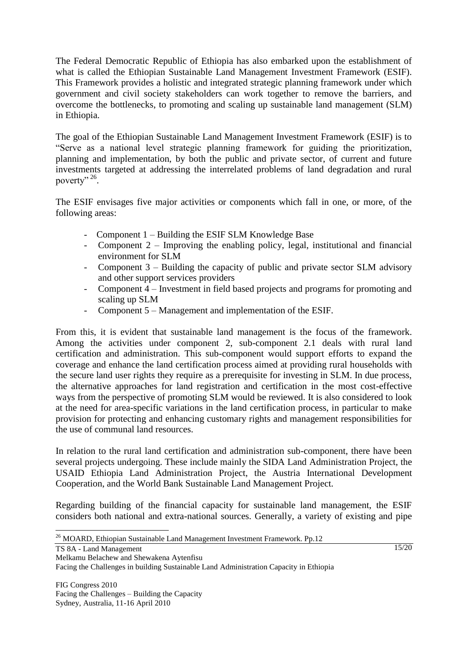The Federal Democratic Republic of Ethiopia has also embarked upon the establishment of what is called the Ethiopian Sustainable Land Management Investment Framework (ESIF). This Framework provides a holistic and integrated strategic planning framework under which government and civil society stakeholders can work together to remove the barriers, and overcome the bottlenecks, to promoting and scaling up sustainable land management (SLM) in Ethiopia.

The goal of the Ethiopian Sustainable Land Management Investment Framework (ESIF) is to "Serve as a national level strategic planning framework for guiding the prioritization, planning and implementation, by both the public and private sector, of current and future investments targeted at addressing the interrelated problems of land degradation and rural poverty"<sup>26</sup>.

The ESIF envisages five major activities or components which fall in one, or more, of the following areas:

- Component 1 Building the ESIF SLM Knowledge Base
- Component 2 Improving the enabling policy, legal, institutional and financial environment for SLM
- Component 3 Building the capacity of public and private sector SLM advisory and other support services providers
- Component 4 Investment in field based projects and programs for promoting and scaling up SLM
- Component 5 Management and implementation of the ESIF.

From this, it is evident that sustainable land management is the focus of the framework. Among the activities under component 2, sub-component 2.1 deals with rural land certification and administration. This sub-component would support efforts to expand the coverage and enhance the land certification process aimed at providing rural households with the secure land user rights they require as a prerequisite for investing in SLM. In due process, the alternative approaches for land registration and certification in the most cost-effective ways from the perspective of promoting SLM would be reviewed. It is also considered to look at the need for area-specific variations in the land certification process, in particular to make provision for protecting and enhancing customary rights and management responsibilities for the use of communal land resources.

In relation to the rural land certification and administration sub-component, there have been several projects undergoing. These include mainly the SIDA Land Administration Project, the USAID Ethiopia Land Administration Project, the Austria International Development Cooperation, and the World Bank Sustainable Land Management Project.

Regarding building of the financial capacity for sustainable land management, the ESIF considers both national and extra-national sources. Generally, a variety of existing and pipe

 $\overline{a}$ <sup>26</sup> MOARD, Ethiopian Sustainable Land Management Investment Framework. Pp.12

TS 8A - Land Management

Melkamu Belachew and Shewakena Aytenfisu

Facing the Challenges in building Sustainable Land Administration Capacity in Ethiopia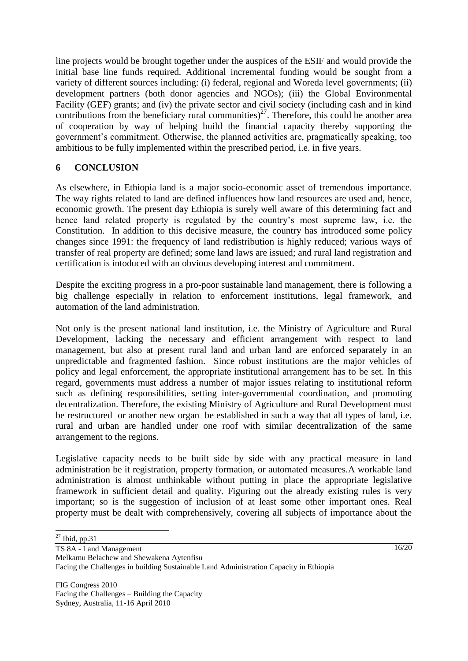line projects would be brought together under the auspices of the ESIF and would provide the initial base line funds required. Additional incremental funding would be sought from a variety of different sources including: (i) federal, regional and Woreda level governments; (ii) development partners (both donor agencies and NGOs); (iii) the Global Environmental Facility (GEF) grants; and (iv) the private sector and civil society (including cash and in kind contributions from the beneficiary rural communities)<sup>27</sup>. Therefore, this could be another area of cooperation by way of helping build the financial capacity thereby supporting the government's commitment. Otherwise, the planned activities are, pragmatically speaking, too ambitious to be fully implemented within the prescribed period, i.e. in five years.

## **6 CONCLUSION**

As elsewhere, in Ethiopia land is a major socio-economic asset of tremendous importance. The way rights related to land are defined influences how land resources are used and, hence, economic growth. The present day Ethiopia is surely well aware of this determining fact and hence land related property is regulated by the country's most supreme law, i.e. the Constitution. In addition to this decisive measure, the country has introduced some policy changes since 1991: the frequency of land redistribution is highly reduced; various ways of transfer of real property are defined; some land laws are issued; and rural land registration and certification is intoduced with an obvious developing interest and commitment.

Despite the exciting progress in a pro-poor sustainable land management, there is following a big challenge especially in relation to enforcement institutions, legal framework, and automation of the land administration.

Not only is the present national land institution, i.e. the Ministry of Agriculture and Rural Development, lacking the necessary and efficient arrangement with respect to land management, but also at present rural land and urban land are enforced separately in an unpredictable and fragmented fashion. Since robust institutions are the major vehicles of policy and legal enforcement, the appropriate institutional arrangement has to be set. In this regard, governments must address a number of major issues relating to institutional reform such as defining responsibilities, setting inter-governmental coordination, and promoting decentralization. Therefore, the existing Ministry of Agriculture and Rural Development must be restructured or another new organ be established in such a way that all types of land, i.e. rural and urban are handled under one roof with similar decentralization of the same arrangement to the regions.

Legislative capacity needs to be built side by side with any practical measure in land administration be it registration, property formation, or automated measures.A workable land administration is almost unthinkable without putting in place the appropriate legislative framework in sufficient detail and quality. Figuring out the already existing rules is very important; so is the suggestion of inclusion of at least some other important ones. Real property must be dealt with comprehensively, covering all subjects of importance about the

 $27$  Ibid, pp.31

TS 8A - Land Management

Melkamu Belachew and Shewakena Aytenfisu

Facing the Challenges in building Sustainable Land Administration Capacity in Ethiopia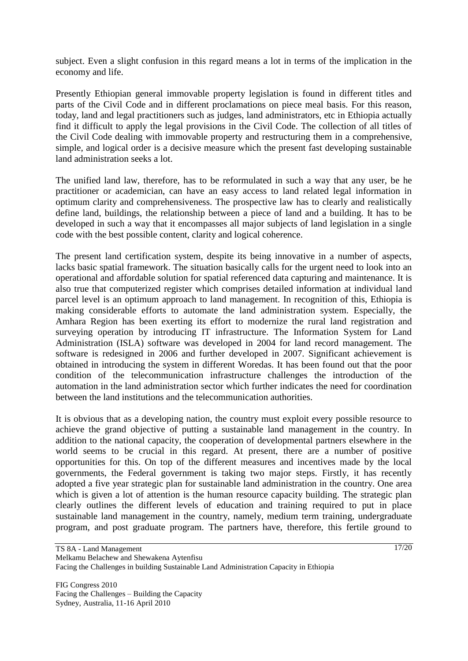subject. Even a slight confusion in this regard means a lot in terms of the implication in the economy and life.

Presently Ethiopian general immovable property legislation is found in different titles and parts of the Civil Code and in different proclamations on piece meal basis. For this reason, today, land and legal practitioners such as judges, land administrators, etc in Ethiopia actually find it difficult to apply the legal provisions in the Civil Code. The collection of all titles of the Civil Code dealing with immovable property and restructuring them in a comprehensive, simple, and logical order is a decisive measure which the present fast developing sustainable land administration seeks a lot.

The unified land law, therefore, has to be reformulated in such a way that any user, be he practitioner or academician, can have an easy access to land related legal information in optimum clarity and comprehensiveness. The prospective law has to clearly and realistically define land, buildings, the relationship between a piece of land and a building. It has to be developed in such a way that it encompasses all major subjects of land legislation in a single code with the best possible content, clarity and logical coherence.

The present land certification system, despite its being innovative in a number of aspects, lacks basic spatial framework. The situation basically calls for the urgent need to look into an operational and affordable solution for spatial referenced data capturing and maintenance. It is also true that computerized register which comprises detailed information at individual land parcel level is an optimum approach to land management. In recognition of this, Ethiopia is making considerable efforts to automate the land administration system. Especially, the Amhara Region has been exerting its effort to modernize the rural land registration and surveying operation by introducing IT infrastructure. The Information System for Land Administration (ISLA) software was developed in 2004 for land record management. The software is redesigned in 2006 and further developed in 2007. Significant achievement is obtained in introducing the system in different Woredas. It has been found out that the poor condition of the telecommunication infrastructure challenges the introduction of the automation in the land administration sector which further indicates the need for coordination between the land institutions and the telecommunication authorities.

It is obvious that as a developing nation, the country must exploit every possible resource to achieve the grand objective of putting a sustainable land management in the country. In addition to the national capacity, the cooperation of developmental partners elsewhere in the world seems to be crucial in this regard. At present, there are a number of positive opportunities for this. On top of the different measures and incentives made by the local governments, the Federal government is taking two major steps. Firstly, it has recently adopted a five year strategic plan for sustainable land administration in the country. One area which is given a lot of attention is the human resource capacity building. The strategic plan clearly outlines the different levels of education and training required to put in place sustainable land management in the country, namely, medium term training, undergraduate program, and post graduate program. The partners have, therefore, this fertile ground to

FIG Congress 2010 Facing the Challenges – Building the Capacity Sydney, Australia, 11-16 April 2010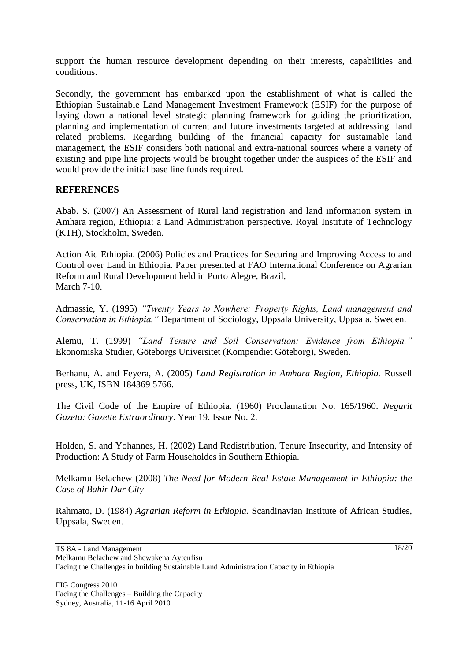support the human resource development depending on their interests, capabilities and conditions.

Secondly, the government has embarked upon the establishment of what is called the Ethiopian Sustainable Land Management Investment Framework (ESIF) for the purpose of laying down a national level strategic planning framework for guiding the prioritization, planning and implementation of current and future investments targeted at addressing land related problems. Regarding building of the financial capacity for sustainable land management, the ESIF considers both national and extra-national sources where a variety of existing and pipe line projects would be brought together under the auspices of the ESIF and would provide the initial base line funds required.

### **REFERENCES**

Abab. S. (2007) An Assessment of Rural land registration and land information system in Amhara region, Ethiopia: a Land Administration perspective. Royal Institute of Technology (KTH), Stockholm, Sweden.

Action Aid Ethiopia. (2006) Policies and Practices for Securing and Improving Access to and Control over Land in Ethiopia. Paper presented at FAO International Conference on Agrarian Reform and Rural Development held in Porto Alegre, Brazil, March 7-10.

Admassie, Y. (1995) *"Twenty Years to Nowhere: Property Rights, Land management and Conservation in Ethiopia."* Department of Sociology, Uppsala University, Uppsala, Sweden.

Alemu, T. (1999) *"Land Tenure and Soil Conservation: Evidence from Ethiopia."* Ekonomiska Studier, Göteborgs Universitet (Kompendiet Göteborg), Sweden.

Berhanu, A. and Feyera, A. (2005) *Land Registration in Amhara Region, Ethiopia.* Russell press, UK, ISBN 184369 5766.

The Civil Code of the Empire of Ethiopia. (1960) Proclamation No. 165/1960. *Negarit Gazeta: Gazette Extraordinary*. Year 19. Issue No. 2.

Holden, S. and Yohannes, H. (2002) Land Redistribution, Tenure Insecurity, and Intensity of Production: A Study of Farm Householdes in Southern Ethiopia.

Melkamu Belachew (2008) *The Need for Modern Real Estate Management in Ethiopia: the Case of Bahir Dar City*

Rahmato, D. (1984) *Agrarian Reform in Ethiopia.* Scandinavian Institute of African Studies, Uppsala, Sweden.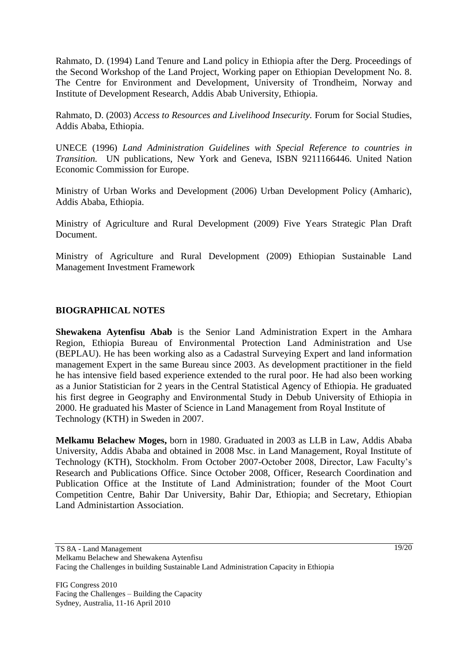Rahmato, D. (1994) Land Tenure and Land policy in Ethiopia after the Derg. Proceedings of the Second Workshop of the Land Project, Working paper on Ethiopian Development No. 8. The Centre for Environment and Development, University of Trondheim, Norway and Institute of Development Research, Addis Abab University, Ethiopia.

Rahmato, D. (2003) *Access to Resources and Livelihood Insecurity.* Forum for Social Studies, Addis Ababa, Ethiopia.

UNECE (1996) *Land Administration Guidelines with Special Reference to countries in Transition.* UN publications, New York and Geneva, ISBN 9211166446. United Nation Economic Commission for Europe.

Ministry of Urban Works and Development (2006) Urban Development Policy (Amharic), Addis Ababa, Ethiopia.

Ministry of Agriculture and Rural Development (2009) Five Years Strategic Plan Draft Document.

Ministry of Agriculture and Rural Development (2009) Ethiopian Sustainable Land Management Investment Framework

### **BIOGRAPHICAL NOTES**

**Shewakena Aytenfisu Abab** is the Senior Land Administration Expert in the Amhara Region, Ethiopia Bureau of Environmental Protection Land Administration and Use (BEPLAU). He has been working also as a Cadastral Surveying Expert and land information management Expert in the same Bureau since 2003. As development practitioner in the field he has intensive field based experience extended to the rural poor. He had also been working as a Junior Statistician for 2 years in the Central Statistical Agency of Ethiopia. He graduated his first degree in Geography and Environmental Study in Debub University of Ethiopia in 2000. He graduated his Master of Science in Land Management from Royal Institute of Technology (KTH) in Sweden in 2007.

**Melkamu Belachew Moges,** born in 1980. Graduated in 2003 as LLB in Law, Addis Ababa University, Addis Ababa and obtained in 2008 Msc. in Land Management, Royal Institute of Technology (KTH), Stockholm. From October 2007-October 2008, Director, Law Faculty"s Research and Publications Office. Since October 2008, Officer, Research Coordination and Publication Office at the Institute of Land Administration; founder of the Moot Court Competition Centre, Bahir Dar University, Bahir Dar, Ethiopia; and Secretary, Ethiopian Land Administartion Association.